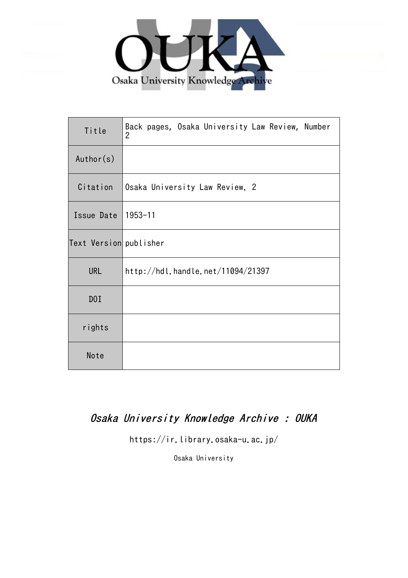

| Title                  | Back pages, Osaka University Law Review, Number<br>2 |
|------------------------|------------------------------------------------------|
| Author(s)              |                                                      |
| Citation               | Osaka University Law Review. 2                       |
| Issue Date             | $1953 - 11$                                          |
| Text Version publisher |                                                      |
| <b>URL</b>             | http://hdl.handle.net/11094/21397                    |
| DOI                    |                                                      |
| rights                 |                                                      |
| Note                   |                                                      |

## Osaka University Knowledge Archive : OUKA

https://ir.library.osaka-u.ac.jp/

Osaka University